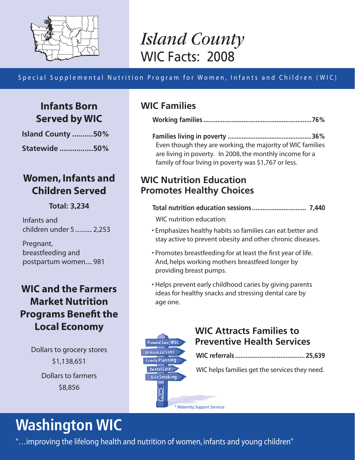

## *Island County* WIC Facts: 2008

### Special Supplemental Nutrition Program for Women, Infants and Children ( WIC)

## **Infants Born Served by WIC**

**Island County ..........50%**

**Statewide ................50%**

## **Women, Infants and Children Served**

#### **Total: 3,234**

Infants and children under 5........... 2,253

Pregnant, breastfeeding and postpartum women.... 981

## **WIC and the Farmers Market Nutrition Programs Benefit the Local Economy**

Dollars to grocery stores \$1,138,651 Dollars to farmers \$8,856

## **WIC Families**

|--|

**Families living in poverty ................................................36%** Even though they are working, the majority of WIC families are living in poverty. In 2008, the monthly income for a family of four living in poverty was \$1,767 or less.

## **WIC Nutrition Education Promotes Healthy Choices**

\* Maternity Support Services

| WIC nutrition education: |  |  |  |  |
|--------------------------|--|--|--|--|

- Emphasizes healthy habits so families can eat better and stay active to prevent obesity and other chronic diseases.
- Promotes breastfeeding for at least the first year of life. And, helps working mothers breastfeed longer by providing breast pumps.
- Helps prevent early childhood caries by giving parents ideas for healthy snacks and stressing dental care by age one.

## **WIC Attracts Families to Preventive Health Services**

|--|--|--|--|--|--|

WIC helps families get the services they need.

**Washington WIC**

"…improving the lifelong health and nutrition of women, infants and young children"

**Prenatal Care/MSS** Immunizations **Family Planning** Dental Care **Quit Smoking**